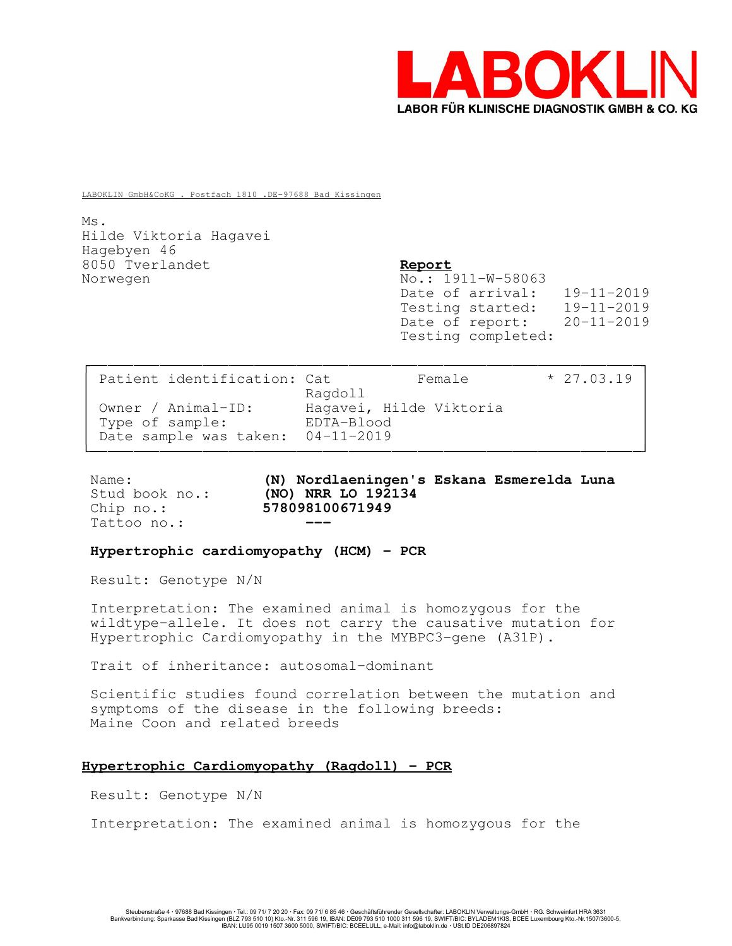

LABOKLIN GmbH&CoKG . Postfach 1810 .DE-97688 Bad Kissingen

Ms. Hilde Viktoria Hagavei Hagebyen 46 8050 Tverlandet Report Norwegen No.: 1911-W-58063

Date of arrival: 19-11-2019 Testing started: 19-11-2019 Date of report: 20-11-2019 Testing completed:

| Patient identification: Cat       | Female                             | $* 27.03.19$ |
|-----------------------------------|------------------------------------|--------------|
| Owner / Animal-ID:                | Ragdoll<br>Hagavei, Hilde Viktoria |              |
| Type of sample:                   | EDTA-Blood                         |              |
| Date sample was taken: 04-11-2019 |                                    |              |

Tattoo no.:

Name: (N) Nordlaeningen's Eskana Esmerelda Luna Stud book no.: (NO) NRR LO 192134 Chip no.: 578098100671949

### Hypertrophic cardiomyopathy (HCM) - PCR

Result: Genotype N/N

Interpretation: The examined animal is homozygous for the wildtype-allele. It does not carry the causative mutation for Hypertrophic Cardiomyopathy in the MYBPC3-gene (A31P).

Trait of inheritance: autosomal-dominant

Scientific studies found correlation between the mutation and symptoms of the disease in the following breeds: Maine Coon and related breeds

## Hypertrophic Cardiomyopathy (Ragdoll) - PCR

Result: Genotype N/N

Interpretation: The examined animal is homozygous for the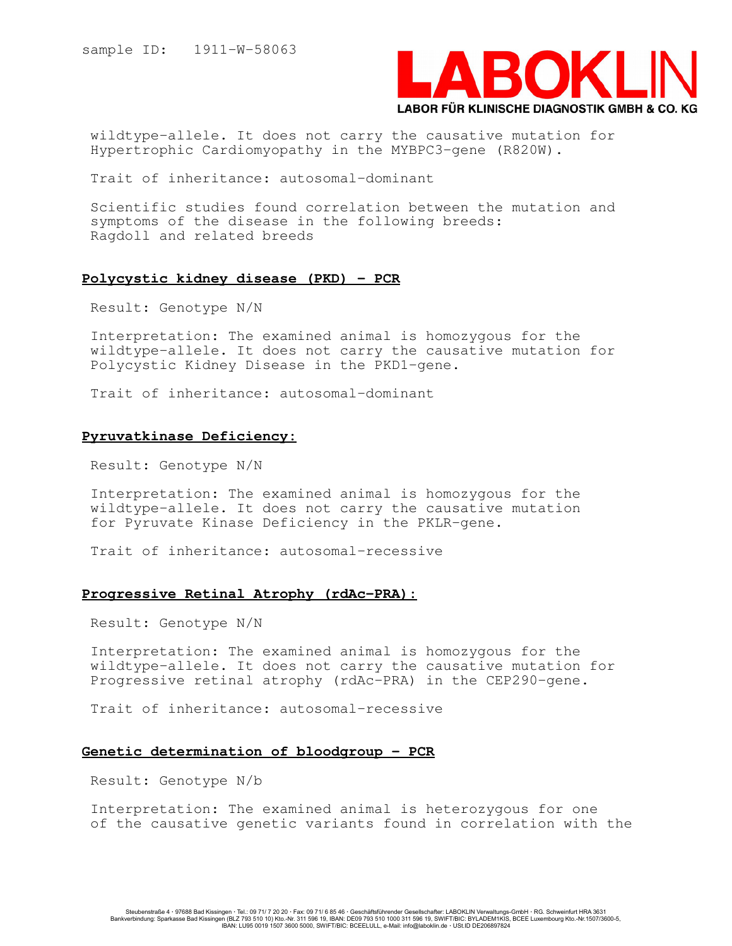

wildtype-allele. It does not carry the causative mutation for Hypertrophic Cardiomyopathy in the MYBPC3-gene (R820W).

Trait of inheritance: autosomal-dominant

Scientific studies found correlation between the mutation and symptoms of the disease in the following breeds: Ragdoll and related breeds

#### Polycystic kidney disease (PKD) - PCR

Result: Genotype N/N

Interpretation: The examined animal is homozygous for the wildtype-allele. It does not carry the causative mutation for Polycystic Kidney Disease in the PKD1-gene.

Trait of inheritance: autosomal-dominant

# Pyruvatkinase Deficiency:

Result: Genotype N/N

Interpretation: The examined animal is homozygous for the wildtype-allele. It does not carry the causative mutation for Pyruvate Kinase Deficiency in the PKLR-gene.

Trait of inheritance: autosomal-recessive

## Progressive Retinal Atrophy (rdAc-PRA):

Result: Genotype N/N

Interpretation: The examined animal is homozygous for the wildtype-allele. It does not carry the causative mutation for Progressive retinal atrophy (rdAc-PRA) in the CEP290-gene.

Trait of inheritance: autosomal-recessive

# Genetic determination of bloodgroup - PCR

Result: Genotype N/b

Interpretation: The examined animal is heterozygous for one of the causative genetic variants found in correlation with the